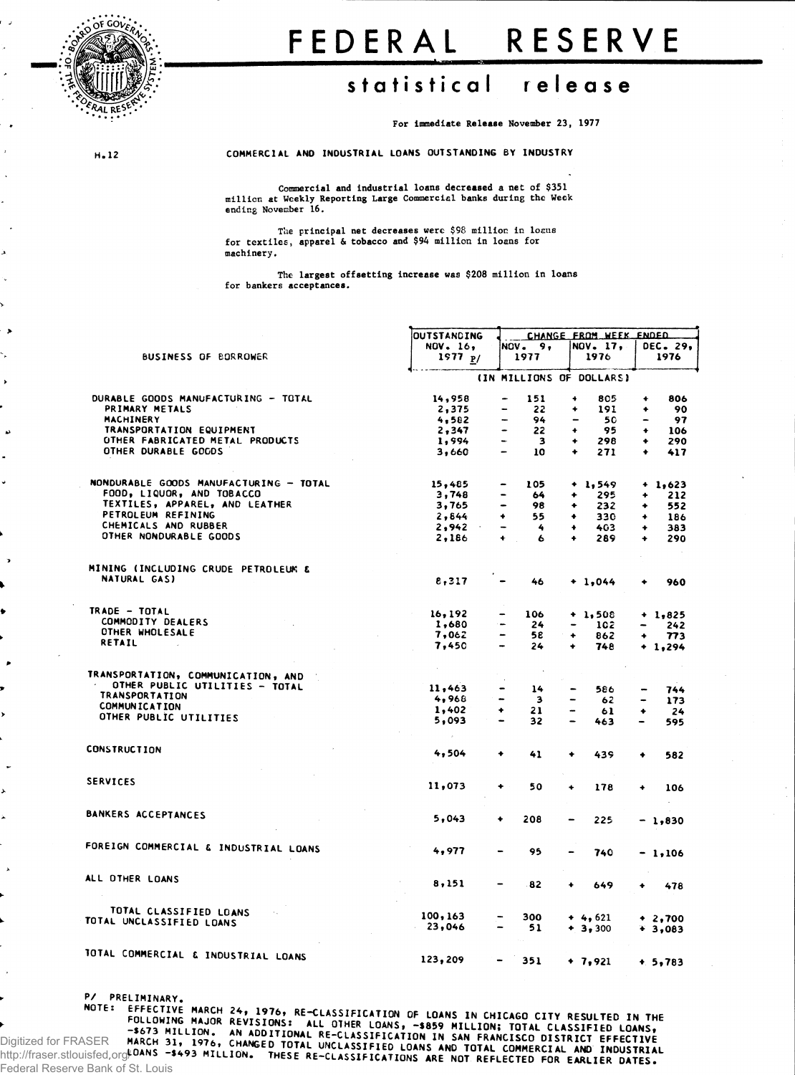

## **FEDERA L RESERV E**

## **statistica l releas e**

For Immediate Release November 23, 1977

÷,

H.12 COMMERCIAL AND INDUSTRIAL LOANS OUTSTANDING BY INDUSTRY

**Commercial and Industrial loans decreased a net of \$351 million at Weekly Reporting Large Commercial banks during the Week ending November 16.**

**The principal net decreases were \$98 million in locus for textiles, apparel & tobacco and \$94 million in loans for machinery.** 

**The largest offsetting increase was \$208 million in loans for bankers acceptances.**

|                                                    | <b>OUTSTANDING</b> | CHANGE FROM WEEK ENDED                    |                                |                                     |  |  |  |  |
|----------------------------------------------------|--------------------|-------------------------------------------|--------------------------------|-------------------------------------|--|--|--|--|
|                                                    | <b>NOV. 16,</b>    | NOV.<br>9,                                | NOV. 17,                       | DEC. 29,                            |  |  |  |  |
| <b>BUSINESS OF BORROWER</b>                        | 1977 $p/$          | 1977                                      | 1976                           | 1976                                |  |  |  |  |
|                                                    |                    |                                           |                                |                                     |  |  |  |  |
|                                                    |                    |                                           | (IN MILLIONS OF DOLLARS)       |                                     |  |  |  |  |
| DURABLE GOODS MANUFACTURING - TOTAL                | 14,958             | 151<br>$\overline{ }$                     | ۰<br>805                       | 806<br>۰                            |  |  |  |  |
| PRIMARY METALS                                     | 2,375              | 22<br>-                                   | ۰<br>191                       | 90<br>۰                             |  |  |  |  |
| MACHINERY                                          | 4,582              | 94<br>$\sim$                              | 50<br>$\overline{\phantom{0}}$ | 97<br>$\overline{\phantom{a}}$      |  |  |  |  |
| TRANSPORTATION EQUIPMENT                           | 2,347              | 22<br>$\bullet$                           | 95<br>٠                        | ۰<br>106                            |  |  |  |  |
| OTHER FABRICATED METAL PRODUCTS                    | 1,994              | $\overline{\mathbf{3}}$<br>$\blacksquare$ | 298<br>٠                       | ٠<br>290                            |  |  |  |  |
| OTHER DURABLE GOGDS                                | 3,660              | $\qquad \qquad \blacksquare$<br>10        | ۰<br>271                       | ۰<br>417                            |  |  |  |  |
|                                                    |                    |                                           |                                |                                     |  |  |  |  |
| NONDURABLE GOODS MANUFACTURING - TOTAL             | 15,485             | 105                                       | + 1,549                        | $+ 1,623$                           |  |  |  |  |
| FOOD, LIQUOR, AND TOBACCO                          | 3,748              | 64                                        | 295<br>۰                       | 212<br>۰                            |  |  |  |  |
| TEXTILES, APPAREL, AND LEATHER                     | 3,765              | 98<br>-                                   | 232<br>۰                       | 552<br>۰                            |  |  |  |  |
| PETROLEUM REFINING                                 | 2,844              | ۰<br>55                                   | ۰<br>330                       | 186<br>٠                            |  |  |  |  |
| CHEMICALS AND RUBBER                               | 2,942              | -<br>4                                    | 403<br>۰                       | 383<br>٠                            |  |  |  |  |
| OTHER NONDURABLE GOODS                             | 2,186              | ÷<br>6                                    | 289<br>٠                       | 290<br>٠                            |  |  |  |  |
|                                                    |                    |                                           |                                |                                     |  |  |  |  |
| MINING (INCLUDING CRUDE PETROLEUM &                |                    |                                           |                                |                                     |  |  |  |  |
| NATURAL GAS)                                       | 8,317              | 46                                        | $+ 1,044$                      | 960<br>۰                            |  |  |  |  |
|                                                    |                    |                                           |                                |                                     |  |  |  |  |
| TRADE - TOTAL                                      | 16, 192            | 106                                       | $+ 1,508$                      | $+ 1,825$                           |  |  |  |  |
| COMMODITY DEALERS                                  | 1,680              | 24<br>$\blacksquare$                      | 102                            | 242                                 |  |  |  |  |
| OTHER WHOLESALE                                    | 7,062              | $\overline{\phantom{a}}$<br>58            | ٠<br>862                       | 773<br>۰                            |  |  |  |  |
| RETAIL                                             | 7,450              | 24<br>$\rightarrow$                       | 748<br>۰                       |                                     |  |  |  |  |
|                                                    |                    |                                           |                                | $+ 1,294$                           |  |  |  |  |
| TRANSPORTATION, COMMUNICATION, AND                 |                    |                                           |                                |                                     |  |  |  |  |
| OTHER PUBLIC UTILITIES - TOTAL                     | 11,463             | 14                                        | 586                            | 744                                 |  |  |  |  |
| <b>TRANSPORTATION</b>                              | 4,968              | $\qquad \qquad \blacksquare$<br>з         | 62                             | 173<br>$\qquad \qquad \blacksquare$ |  |  |  |  |
| <b>COMMUNICATION</b>                               | 1,402              | ٠<br>21                                   | -                              |                                     |  |  |  |  |
| OTHER PUBLIC UTILITIES                             | 5,093              |                                           | 61                             | ۰<br>24                             |  |  |  |  |
|                                                    |                    | 32                                        | 463                            | 595                                 |  |  |  |  |
| <b>CONSTRUCTION</b>                                | 4,504              | ۰<br>41                                   | ۰                              |                                     |  |  |  |  |
|                                                    |                    |                                           | 439                            | 582<br>٠                            |  |  |  |  |
| <b>SERVICES</b>                                    | 11,073             | ۰<br>50                                   | ٠<br>178                       | 106<br>۰                            |  |  |  |  |
|                                                    |                    |                                           |                                |                                     |  |  |  |  |
| BANKERS ACCEPTANCES                                | 5,043              | 208<br>٠                                  | 225<br>-                       | $-1,830$                            |  |  |  |  |
|                                                    |                    |                                           |                                |                                     |  |  |  |  |
| FOREIGN COMMERCIAL & INDUSTRIAL LOANS              | 4,977              | 95                                        | 740                            | $-1,106$                            |  |  |  |  |
|                                                    |                    |                                           |                                |                                     |  |  |  |  |
| ALL OTHER LOANS                                    | 8,151              | 82                                        | ٠<br>649                       | 478                                 |  |  |  |  |
|                                                    |                    |                                           |                                |                                     |  |  |  |  |
| TOTAL CLASSIFIED LOANS<br>TOTAL UNCLASSIFIED LOANS | 100, 163           | 300                                       | $+4,621$                       | $+2,700$                            |  |  |  |  |
|                                                    | 23,046             | 51                                        | $+3,300$                       | $+3,083$                            |  |  |  |  |
| TOTAL COMMERCIAL & INDUSTRIAL LOANS                |                    |                                           |                                |                                     |  |  |  |  |
|                                                    | 123,209            | 351                                       | $+ 7,921$                      | $+ 5,783$                           |  |  |  |  |

P/ PRELIMINARY,

–\$673 MILLION. AN ADDITIONAL RE–CLASSIFICATION IN SAN FRANCISCO DISTRICT EFFECTIVE<br>MARCH 31, 1976, CHANGED TOTAL UNCLASSIFIED LOANS AND TOTAL COMMERCIAL AND INDEVENTUE<br>LOANS –\$493 MILLION. THESE RE–CLASSIFICATIONS ARE NO Digitized for FRASER http://fraser.stlouisfed.org/ Federal Reserve Bank of St. Louis